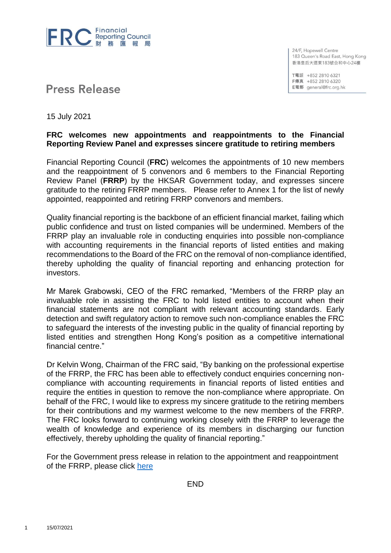

24/F, Hopewell Centre 183 Queen's Road East, Hong Kong 香港皇后大道東183號合和中心24樓

T電話 +852 2810 6321 F傳真 +852 2810 6320 E電郵 general@frc.org.hk

# **Press Release**

15 July 2021

#### **FRC welcomes new appointments and reappointments to the Financial Reporting Review Panel and expresses sincere gratitude to retiring members**

Financial Reporting Council (**FRC**) welcomes the appointments of 10 new members and the reappointment of 5 convenors and 6 members to the Financial Reporting Review Panel (**FRRP**) by the HKSAR Government today, and expresses sincere gratitude to the retiring FRRP members. Please refer to Annex 1 for the list of newly appointed, reappointed and retiring FRRP convenors and members.

Quality financial reporting is the backbone of an efficient financial market, failing which public confidence and trust on listed companies will be undermined. Members of the FRRP play an invaluable role in conducting enquiries into possible non-compliance with accounting requirements in the financial reports of listed entities and making recommendations to the Board of the FRC on the removal of non-compliance identified, thereby upholding the quality of financial reporting and enhancing protection for investors.

Mr Marek Grabowski, CEO of the FRC remarked, "Members of the FRRP play an invaluable role in assisting the FRC to hold listed entities to account when their financial statements are not compliant with relevant accounting standards. Early detection and swift regulatory action to remove such non-compliance enables the FRC to safeguard the interests of the investing public in the quality of financial reporting by listed entities and strengthen Hong Kong's position as a competitive international financial centre."

Dr Kelvin Wong, Chairman of the FRC said, "By banking on the professional expertise of the FRRP, the FRC has been able to effectively conduct enquiries concerning noncompliance with accounting requirements in financial reports of listed entities and require the entities in question to remove the non-compliance where appropriate. On behalf of the FRC, I would like to express my sincere gratitude to the retiring members for their contributions and my warmest welcome to the new members of the FRRP. The FRC looks forward to continuing working closely with the FRRP to leverage the wealth of knowledge and experience of its members in discharging our function effectively, thereby upholding the quality of financial reporting."

For the Government press release in relation to the appointment and reappointment of the FRRP, please click [here](https://www.info.gov.hk/gia/general/202107/15/P2021071500195.htm)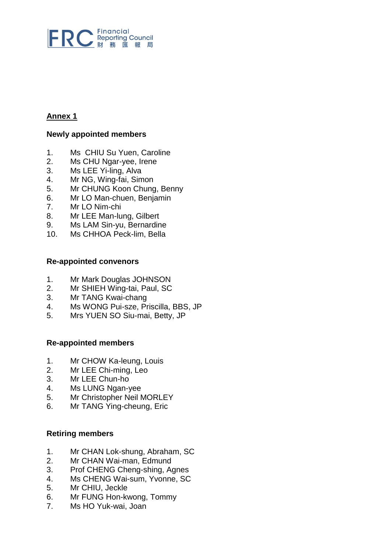

## **Annex 1**

#### **Newly appointed members**

- 1. Ms CHIU Su Yuen, Caroline
- 2. Ms CHU Ngar-yee, Irene
- 3. Ms LEE Yi-ling, Alva
- 4. Mr NG, Wing-fai, Simon
- 5. Mr CHUNG Koon Chung, Benny
- 6. Mr LO Man-chuen, Benjamin
- 7. Mr LO Nim-chi
- 8. Mr LEE Man-lung, Gilbert
- 9. Ms LAM Sin-yu, Bernardine
- 10. Ms CHHOA Peck-lim, Bella

#### **Re-appointed convenors**

- 1. Mr Mark Douglas JOHNSON
- 2. Mr SHIEH Wing-tai, Paul, SC
- 3. Mr TANG Kwai-chang
- 4. Ms WONG Pui-sze, Priscilla, BBS, JP
- 5. Mrs YUEN SO Siu-mai, Betty, JP

#### **Re-appointed members**

- 1. Mr CHOW Ka-leung, Louis
- 2. Mr LEE Chi-ming, Leo
- 3. Mr LEE Chun-ho
- 4. Ms LUNG Ngan-yee
- 5. Mr Christopher Neil MORLEY
- 6. Mr TANG Ying-cheung, Eric

### **Retiring members**

- 1. Mr CHAN Lok-shung, Abraham, SC
- 2. Mr CHAN Wai-man, Edmund
- 3. Prof CHENG Cheng-shing, Agnes
- 4. Ms CHENG Wai-sum, Yvonne, SC
- 5. Mr CHIU, Jeckle
- 6. Mr FUNG Hon-kwong, Tommy
- 7. Ms HO Yuk-wai, Joan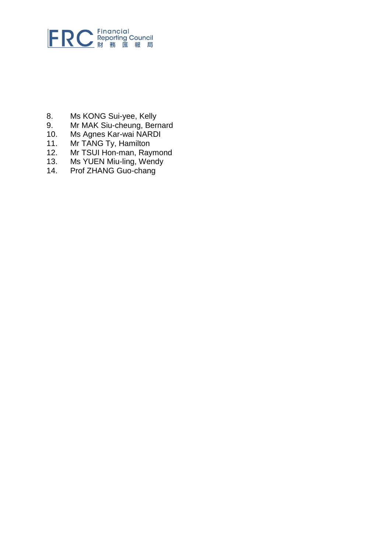

- 8. Ms KONG Sui-yee, Kelly<br>9. Mr MAK Siu-cheung, Ber
- 9. Mr MAK Siu-cheung, Bernard<br>10. Ms Agnes Kar-wai NARDI
- 10. Ms Agnes Kar-wai NARDI
- 11. Mr TANG Ty, Hamilton
- 12. Mr TSUI Hon-man, Raymond<br>13. Ms YUEN Miu-ling, Wendy
- 13. Ms YUEN Miu-ling, Wendy
- 14. Prof ZHANG Guo-chang